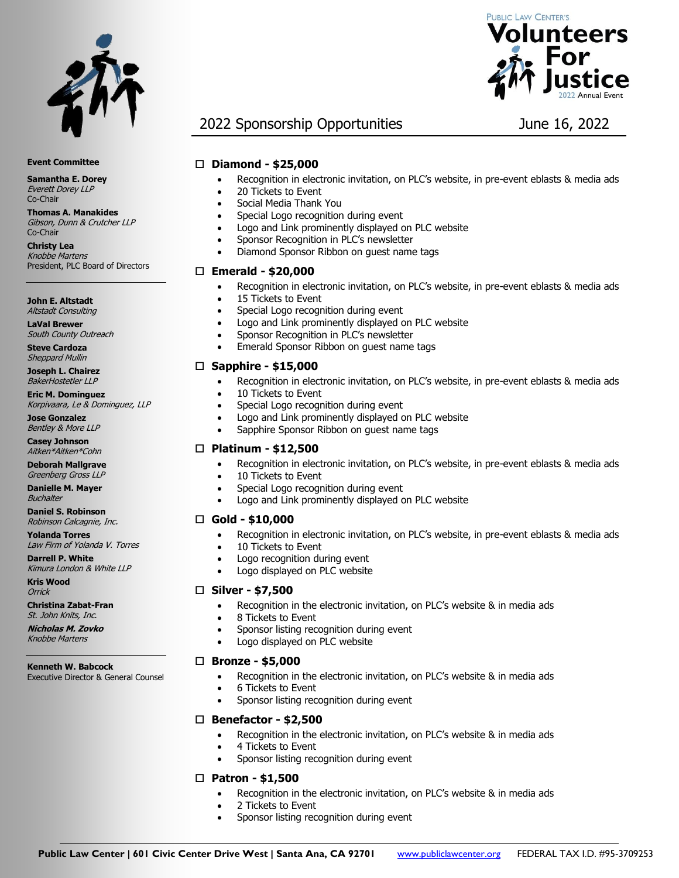



## 2022 Sponsorship Opportunities June 16, 2022

#### **Diamond - \$25,000**

- Recognition in electronic invitation, on PLC's website, in pre-event eblasts & media ads
- 20 Tickets to Event
- Social Media Thank You
- Special Logo recognition during event
- Logo and Link prominently displayed on PLC website
- Sponsor Recognition in PLC's newsletter
- Diamond Sponsor Ribbon on guest name tags

#### **Emerald - \$20,000**

- Recognition in electronic invitation, on PLC's website, in pre-event eblasts & media ads
- 15 Tickets to Event
- Special Logo recognition during event
- Logo and Link prominently displayed on PLC website
- Sponsor Recognition in PLC's newsletter
- Emerald Sponsor Ribbon on guest name tags

#### **Sapphire - \$15,000**

- Recognition in electronic invitation, on PLC's website, in pre-event eblasts & media ads
- 10 Tickets to Event
	- Special Logo recognition during event
	- Logo and Link prominently displayed on PLC website
	- Sapphire Sponsor Ribbon on guest name tags

#### **Platinum - \$12,500**

- Recognition in electronic invitation, on PLC's website, in pre-event eblasts & media ads
- 10 Tickets to Event
- Special Logo recognition during event
- Logo and Link prominently displayed on PLC website

#### **Gold - \$10,000**

- Recognition in electronic invitation, on PLC's website, in pre-event eblasts & media ads
- 10 Tickets to Event
- Logo recognition during event
- Logo displayed on PLC website

#### **Silver - \$7,500**

- Recognition in the electronic invitation, on PLC's website & in media ads
- 8 Tickets to Event
- Sponsor listing recognition during event
- Logo displayed on PLC website

#### **Bronze - \$5,000**

- Recognition in the electronic invitation, on PLC's website & in media ads
- 6 Tickets to Event
	- Sponsor listing recognition during event

#### **Benefactor - \$2,500**

- Recognition in the electronic invitation, on PLC's website & in media ads
- 4 Tickets to Event
- Sponsor listing recognition during event

#### **Patron - \$1,500**

- Recognition in the electronic invitation, on PLC's website & in media ads
- 2 Tickets to Event
- Sponsor listing recognition during event

**Event Committee**

**Samantha E. Dorey** Everett Dorey LLP Co-Chair

**Thomas A. Manakides** Gibson, Dunn & Crutcher LLP Co-Chair

**Christy Lea** Knobbe Martens President, PLC Board of Directors

**John E. Altstadt** Altstadt Consulting

**LaVal Brewer** South County Outreach

**Steve Cardoza** Sheppard Mullin

**Joseph L. Chairez** BakerHostetler LLP

**Eric M. Dominguez** Korpivaara, Le & Dominguez, LLP

**Jose Gonzalez** Bentley & More LLP

**Casey Johnson** Aitken\*Aitken\*Cohn

**Deborah Mallgrave** Greenberg Gross LLP

**Danielle M. Mayer Buchalter** 

**Daniel S. Robinson** Robinson Calcagnie, Inc.

**Yolanda Torres** Law Firm of Yolanda V. Torres

**Darrell P. White** Kimura London & White LLP

**Kris Wood Orrick** 

**Christina Zabat-Fran** St. John Knits, Inc.

**Nicholas M. Zovko** Knobbe Martens

**Kenneth W. Babcock**

Executive Director & General Counsel